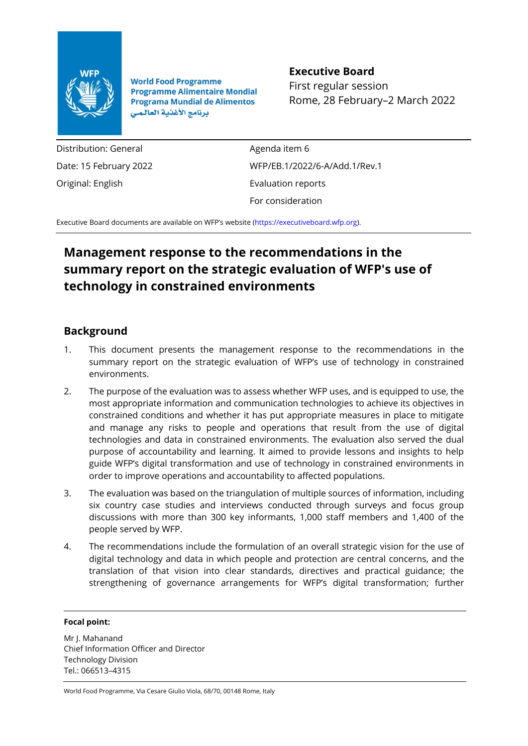

**World Food Programme Programme Alimentaire Mondial Programa Mundial de Alimentos** برنامج الأغذية العالمي

## **Executive Board**

First regular session Rome, 28 February–2 March 2022

Distribution: General Date: 15 February 2022 Original: English

Agenda item 6 WFP/EB.1/2022/6-A/Add.1/Rev.1 Evaluation reports For consideration

Executive Board documents are available on WFP's website [\(https://executiveboard.wfp.org\)](https://executiveboard.wfp.org/).

# **Management response to the recommendations in the summary report on the strategic evaluation of WFP's use of technology in constrained environments**

### **Background**

- 1. This document presents the management response to the recommendations in the summary report on the strategic evaluation of WFP's use of technology in constrained environments.
- 2. The purpose of the evaluation was to assess whether WFP uses, and is equipped to use, the most appropriate information and communication technologies to achieve its objectives in constrained conditions and whether it has put appropriate measures in place to mitigate and manage any risks to people and operations that result from the use of digital technologies and data in constrained environments. The evaluation also served the dual purpose of accountability and learning. It aimed to provide lessons and insights to help guide WFP's digital transformation and use of technology in constrained environments in order to improve operations and accountability to affected populations.
- 3. The evaluation was based on the triangulation of multiple sources of information, including six country case studies and interviews conducted through surveys and focus group discussions with more than 300 key informants, 1,000 staff members and 1,400 of the people served by WFP.
- 4. The recommendations include the formulation of an overall strategic vision for the use of digital technology and data in which people and protection are central concerns, and the translation of that vision into clear standards, directives and practical guidance; the strengthening of governance arrangements for WFP's digital transformation; further

#### **Focal point:**

Mr J. Mahanand Chief Information Officer and Director Technology Division Tel.: 066513–4315

World Food Programme, Via Cesare Giulio Viola, 68/70, 00148 Rome, Italy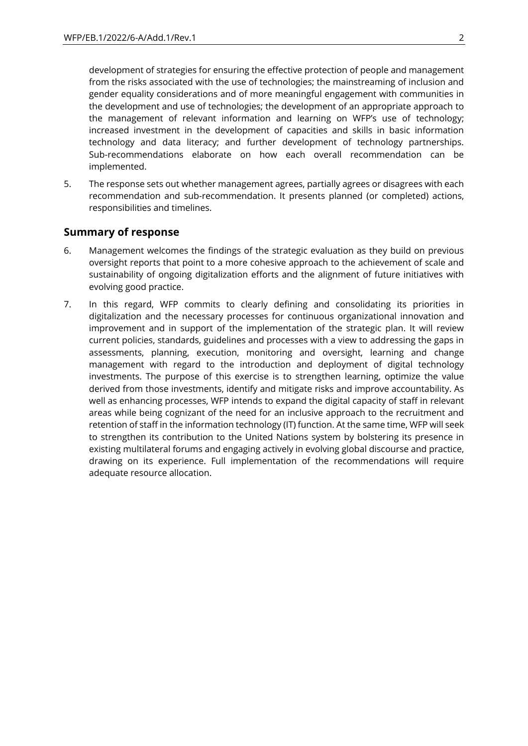development of strategies for ensuring the effective protection of people and management from the risks associated with the use of technologies; the mainstreaming of inclusion and gender equality considerations and of more meaningful engagement with communities in the development and use of technologies; the development of an appropriate approach to the management of relevant information and learning on WFP's use of technology; increased investment in the development of capacities and skills in basic information technology and data literacy; and further development of technology partnerships. Sub-recommendations elaborate on how each overall recommendation can be implemented.

5. The response sets out whether management agrees, partially agrees or disagrees with each recommendation and sub-recommendation. It presents planned (or completed) actions, responsibilities and timelines.

### **Summary of response**

- 6. Management welcomes the findings of the strategic evaluation as they build on previous oversight reports that point to a more cohesive approach to the achievement of scale and sustainability of ongoing digitalization efforts and the alignment of future initiatives with evolving good practice.
- 7. In this regard, WFP commits to clearly defining and consolidating its priorities in digitalization and the necessary processes for continuous organizational innovation and improvement and in support of the implementation of the strategic plan. It will review current policies, standards, guidelines and processes with a view to addressing the gaps in assessments, planning, execution, monitoring and oversight, learning and change management with regard to the introduction and deployment of digital technology investments. The purpose of this exercise is to strengthen learning, optimize the value derived from those investments, identify and mitigate risks and improve accountability. As well as enhancing processes, WFP intends to expand the digital capacity of staff in relevant areas while being cognizant of the need for an inclusive approach to the recruitment and retention of staff in the information technology (IT) function. At the same time, WFP will seek to strengthen its contribution to the United Nations system by bolstering its presence in existing multilateral forums and engaging actively in evolving global discourse and practice, drawing on its experience. Full implementation of the recommendations will require adequate resource allocation.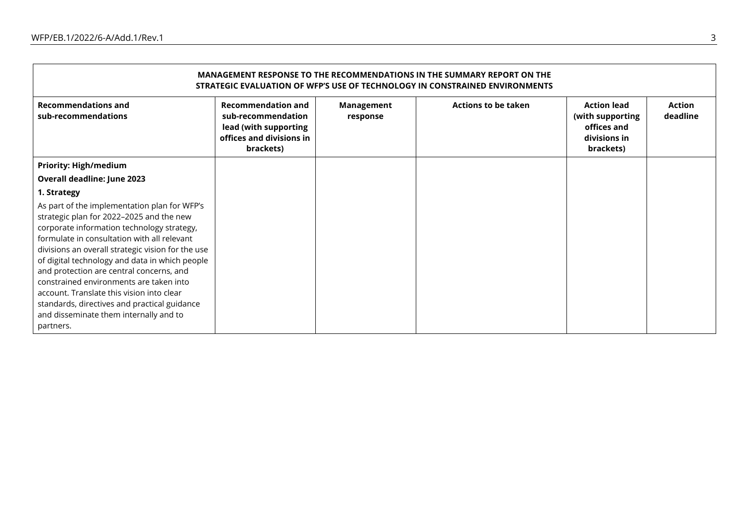$\blacksquare$ 

| MANAGEMENT RESPONSE TO THE RECOMMENDATIONS IN THE SUMMARY REPORT ON THE<br>STRATEGIC EVALUATION OF WFP'S USE OF TECHNOLOGY IN CONSTRAINED ENVIRONMENTS                                                                                                                                                                                                                                                                                                                                                                                  |                                                                                                                   |                               |                            |                                                                                    |                    |  |  |  |
|-----------------------------------------------------------------------------------------------------------------------------------------------------------------------------------------------------------------------------------------------------------------------------------------------------------------------------------------------------------------------------------------------------------------------------------------------------------------------------------------------------------------------------------------|-------------------------------------------------------------------------------------------------------------------|-------------------------------|----------------------------|------------------------------------------------------------------------------------|--------------------|--|--|--|
| <b>Recommendations and</b><br>sub-recommendations                                                                                                                                                                                                                                                                                                                                                                                                                                                                                       | <b>Recommendation and</b><br>sub-recommendation<br>lead (with supporting<br>offices and divisions in<br>brackets) | <b>Management</b><br>response | <b>Actions to be taken</b> | <b>Action lead</b><br>(with supporting<br>offices and<br>divisions in<br>brackets) | Action<br>deadline |  |  |  |
| <b>Priority: High/medium</b>                                                                                                                                                                                                                                                                                                                                                                                                                                                                                                            |                                                                                                                   |                               |                            |                                                                                    |                    |  |  |  |
| Overall deadline: June 2023                                                                                                                                                                                                                                                                                                                                                                                                                                                                                                             |                                                                                                                   |                               |                            |                                                                                    |                    |  |  |  |
| 1. Strategy                                                                                                                                                                                                                                                                                                                                                                                                                                                                                                                             |                                                                                                                   |                               |                            |                                                                                    |                    |  |  |  |
| As part of the implementation plan for WFP's<br>strategic plan for 2022-2025 and the new<br>corporate information technology strategy,<br>formulate in consultation with all relevant<br>divisions an overall strategic vision for the use<br>of digital technology and data in which people<br>and protection are central concerns, and<br>constrained environments are taken into<br>account. Translate this vision into clear<br>standards, directives and practical guidance<br>and disseminate them internally and to<br>partners. |                                                                                                                   |                               |                            |                                                                                    |                    |  |  |  |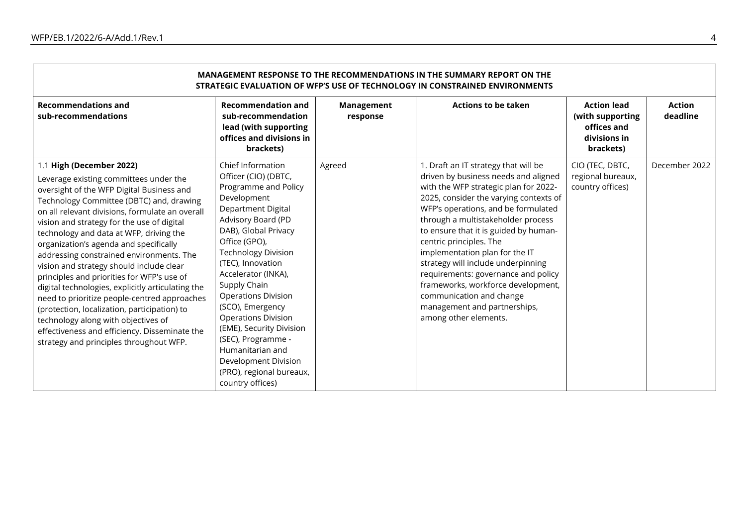| MANAGEMENT RESPONSE TO THE RECOMMENDATIONS IN THE SUMMARY REPORT ON THE<br>STRATEGIC EVALUATION OF WFP'S USE OF TECHNOLOGY IN CONSTRAINED ENVIRONMENTS                                                                                                                                                                                                                                                                                                                                                                                                                                                                                                                                                                                                                          |                                                                                                                                                                                                                                                                                                                                                                                                                                                                                                      |                               |                                                                                                                                                                                                                                                                                                                                                                                                                                                                                                                                                            |                                                                                    |                           |  |  |  |
|---------------------------------------------------------------------------------------------------------------------------------------------------------------------------------------------------------------------------------------------------------------------------------------------------------------------------------------------------------------------------------------------------------------------------------------------------------------------------------------------------------------------------------------------------------------------------------------------------------------------------------------------------------------------------------------------------------------------------------------------------------------------------------|------------------------------------------------------------------------------------------------------------------------------------------------------------------------------------------------------------------------------------------------------------------------------------------------------------------------------------------------------------------------------------------------------------------------------------------------------------------------------------------------------|-------------------------------|------------------------------------------------------------------------------------------------------------------------------------------------------------------------------------------------------------------------------------------------------------------------------------------------------------------------------------------------------------------------------------------------------------------------------------------------------------------------------------------------------------------------------------------------------------|------------------------------------------------------------------------------------|---------------------------|--|--|--|
| <b>Recommendations and</b><br>sub-recommendations                                                                                                                                                                                                                                                                                                                                                                                                                                                                                                                                                                                                                                                                                                                               | <b>Recommendation and</b><br>sub-recommendation<br>lead (with supporting<br>offices and divisions in<br>brackets)                                                                                                                                                                                                                                                                                                                                                                                    | <b>Management</b><br>response | <b>Actions to be taken</b>                                                                                                                                                                                                                                                                                                                                                                                                                                                                                                                                 | <b>Action lead</b><br>(with supporting<br>offices and<br>divisions in<br>brackets) | <b>Action</b><br>deadline |  |  |  |
| 1.1 High (December 2022)<br>Leverage existing committees under the<br>oversight of the WFP Digital Business and<br>Technology Committee (DBTC) and, drawing<br>on all relevant divisions, formulate an overall<br>vision and strategy for the use of digital<br>technology and data at WFP, driving the<br>organization's agenda and specifically<br>addressing constrained environments. The<br>vision and strategy should include clear<br>principles and priorities for WFP's use of<br>digital technologies, explicitly articulating the<br>need to prioritize people-centred approaches<br>(protection, localization, participation) to<br>technology along with objectives of<br>effectiveness and efficiency. Disseminate the<br>strategy and principles throughout WFP. | Chief Information<br>Officer (CIO) (DBTC,<br>Programme and Policy<br>Development<br><b>Department Digital</b><br>Advisory Board (PD<br>DAB), Global Privacy<br>Office (GPO),<br><b>Technology Division</b><br>(TEC), Innovation<br>Accelerator (INKA),<br>Supply Chain<br><b>Operations Division</b><br>(SCO), Emergency<br><b>Operations Division</b><br>(EME), Security Division<br>(SEC), Programme -<br>Humanitarian and<br>Development Division<br>(PRO), regional bureaux,<br>country offices) | Agreed                        | 1. Draft an IT strategy that will be<br>driven by business needs and aligned<br>with the WFP strategic plan for 2022-<br>2025, consider the varying contexts of<br>WFP's operations, and be formulated<br>through a multistakeholder process<br>to ensure that it is guided by human-<br>centric principles. The<br>implementation plan for the IT<br>strategy will include underpinning<br>requirements: governance and policy<br>frameworks, workforce development,<br>communication and change<br>management and partnerships,<br>among other elements. | CIO (TEC, DBTC,<br>regional bureaux,<br>country offices)                           | December 2022             |  |  |  |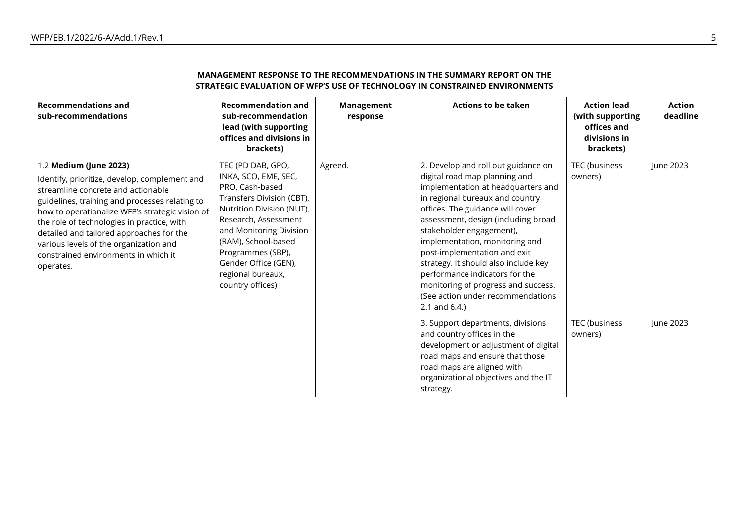| MANAGEMENT RESPONSE TO THE RECOMMENDATIONS IN THE SUMMARY REPORT ON THE<br>STRATEGIC EVALUATION OF WFP'S USE OF TECHNOLOGY IN CONSTRAINED ENVIRONMENTS                                                                                                                                                                                                                                                      |                                                                                                                                                                                                                                                                                        |                               |                                                                                                                                                                                                                                                                                                                                                                                                                                                                                                  |                                                                                    |                           |  |  |  |
|-------------------------------------------------------------------------------------------------------------------------------------------------------------------------------------------------------------------------------------------------------------------------------------------------------------------------------------------------------------------------------------------------------------|----------------------------------------------------------------------------------------------------------------------------------------------------------------------------------------------------------------------------------------------------------------------------------------|-------------------------------|--------------------------------------------------------------------------------------------------------------------------------------------------------------------------------------------------------------------------------------------------------------------------------------------------------------------------------------------------------------------------------------------------------------------------------------------------------------------------------------------------|------------------------------------------------------------------------------------|---------------------------|--|--|--|
| <b>Recommendations and</b><br>sub-recommendations                                                                                                                                                                                                                                                                                                                                                           | <b>Recommendation and</b><br>sub-recommendation<br>lead (with supporting<br>offices and divisions in<br>brackets)                                                                                                                                                                      | <b>Management</b><br>response | <b>Actions to be taken</b>                                                                                                                                                                                                                                                                                                                                                                                                                                                                       | <b>Action lead</b><br>(with supporting<br>offices and<br>divisions in<br>brackets) | <b>Action</b><br>deadline |  |  |  |
| 1.2 Medium (June 2023)<br>Identify, prioritize, develop, complement and<br>streamline concrete and actionable<br>guidelines, training and processes relating to<br>how to operationalize WFP's strategic vision of<br>the role of technologies in practice, with<br>detailed and tailored approaches for the<br>various levels of the organization and<br>constrained environments in which it<br>operates. | TEC (PD DAB, GPO,<br>INKA, SCO, EME, SEC,<br>PRO, Cash-based<br>Transfers Division (CBT),<br>Nutrition Division (NUT),<br>Research, Assessment<br>and Monitoring Division<br>(RAM), School-based<br>Programmes (SBP),<br>Gender Office (GEN),<br>regional bureaux,<br>country offices) | Agreed.                       | 2. Develop and roll out guidance on<br>digital road map planning and<br>implementation at headquarters and<br>in regional bureaux and country<br>offices. The guidance will cover<br>assessment, design (including broad<br>stakeholder engagement),<br>implementation, monitoring and<br>post-implementation and exit<br>strategy. It should also include key<br>performance indicators for the<br>monitoring of progress and success.<br>(See action under recommendations<br>2.1 and $6.4$ .) | TEC (business<br>owners)                                                           | June 2023                 |  |  |  |
|                                                                                                                                                                                                                                                                                                                                                                                                             |                                                                                                                                                                                                                                                                                        |                               | 3. Support departments, divisions<br>and country offices in the<br>development or adjustment of digital<br>road maps and ensure that those<br>road maps are aligned with<br>organizational objectives and the IT<br>strategy.                                                                                                                                                                                                                                                                    | TEC (business<br>owners)                                                           | June 2023                 |  |  |  |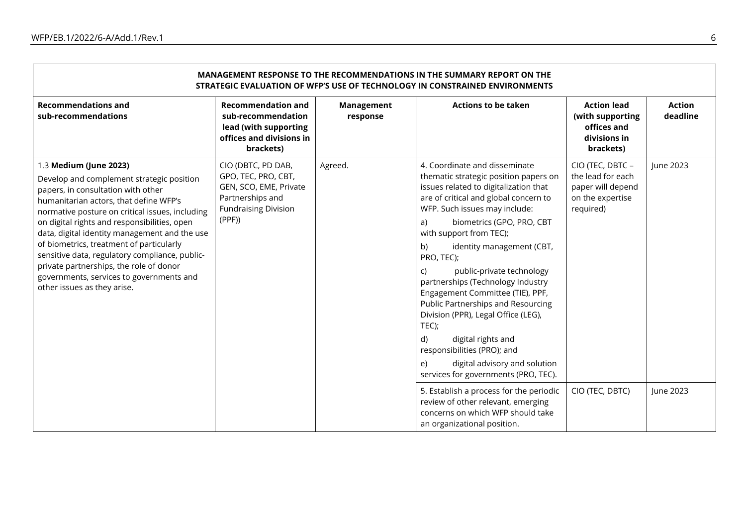$\blacksquare$ 

| <b>MANAGEMENT RESPONSE TO THE RECOMMENDATIONS IN THE SUMMARY REPORT ON THE</b><br>STRATEGIC EVALUATION OF WFP'S USE OF TECHNOLOGY IN CONSTRAINED ENVIRONMENTS                                          |                                                                                                                        |                        |                                                                                                                                                                                                |                                                                                             |                           |  |  |  |
|--------------------------------------------------------------------------------------------------------------------------------------------------------------------------------------------------------|------------------------------------------------------------------------------------------------------------------------|------------------------|------------------------------------------------------------------------------------------------------------------------------------------------------------------------------------------------|---------------------------------------------------------------------------------------------|---------------------------|--|--|--|
| <b>Recommendations and</b><br>sub-recommendations                                                                                                                                                      | <b>Recommendation and</b><br>sub-recommendation<br>lead (with supporting<br>offices and divisions in<br>brackets)      | Management<br>response | <b>Actions to be taken</b>                                                                                                                                                                     | <b>Action lead</b><br>(with supporting<br>offices and<br>divisions in<br>brackets)          | <b>Action</b><br>deadline |  |  |  |
| 1.3 Medium (June 2023)<br>Develop and complement strategic position<br>papers, in consultation with other<br>humanitarian actors, that define WFP's<br>normative posture on critical issues, including | CIO (DBTC, PD DAB,<br>GPO, TEC, PRO, CBT,<br>GEN, SCO, EME, Private<br>Partnerships and<br><b>Fundraising Division</b> | Agreed.                | 4. Coordinate and disseminate<br>thematic strategic position papers on<br>issues related to digitalization that<br>are of critical and global concern to<br>WFP. Such issues may include:      | CIO (TEC, DBTC -<br>the lead for each<br>paper will depend<br>on the expertise<br>required) | June 2023                 |  |  |  |
| on digital rights and responsibilities, open<br>data, digital identity management and the use                                                                                                          | (PPF)                                                                                                                  |                        | biometrics (GPO, PRO, CBT<br>a)<br>with support from TEC);                                                                                                                                     |                                                                                             |                           |  |  |  |
| of biometrics, treatment of particularly<br>sensitive data, regulatory compliance, public-                                                                                                             |                                                                                                                        |                        | b)<br>identity management (CBT,<br>PRO, TEC);                                                                                                                                                  |                                                                                             |                           |  |  |  |
| private partnerships, the role of donor<br>governments, services to governments and<br>other issues as they arise.                                                                                     |                                                                                                                        |                        | public-private technology<br>C)<br>partnerships (Technology Industry<br>Engagement Committee (TIE), PPF,<br>Public Partnerships and Resourcing<br>Division (PPR), Legal Office (LEG),<br>TEC); |                                                                                             |                           |  |  |  |
|                                                                                                                                                                                                        |                                                                                                                        |                        | digital rights and<br>d)<br>responsibilities (PRO); and                                                                                                                                        |                                                                                             |                           |  |  |  |
|                                                                                                                                                                                                        |                                                                                                                        |                        | digital advisory and solution<br>e)<br>services for governments (PRO, TEC).                                                                                                                    |                                                                                             |                           |  |  |  |
|                                                                                                                                                                                                        |                                                                                                                        |                        | 5. Establish a process for the periodic<br>review of other relevant, emerging<br>concerns on which WFP should take<br>an organizational position.                                              | CIO (TEC, DBTC)                                                                             | June 2023                 |  |  |  |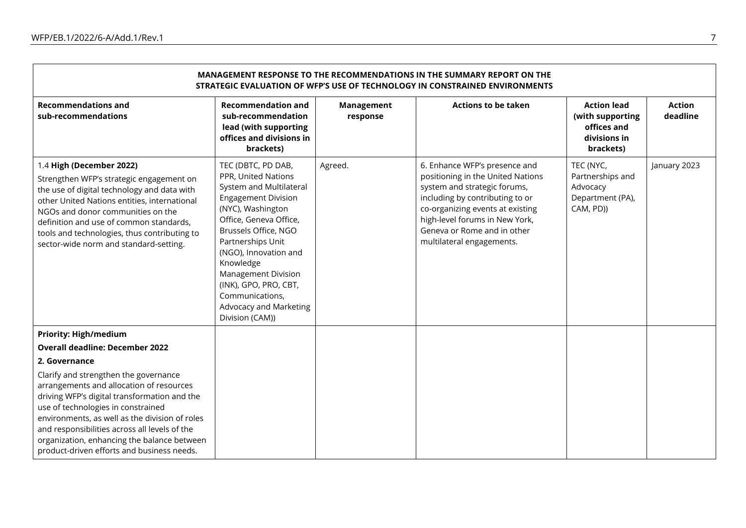**F** 

| <b>MANAGEMENT RESPONSE TO THE RECOMMENDATIONS IN THE SUMMARY REPORT ON THE</b><br>STRATEGIC EVALUATION OF WFP'S USE OF TECHNOLOGY IN CONSTRAINED ENVIRONMENTS                                                                                                                                                                                                           |                                                                                                                                                                                                                                                                                                                                                             |                        |                                                                                                                                                                                                                                                                         |                                                                                    |                           |  |  |  |
|-------------------------------------------------------------------------------------------------------------------------------------------------------------------------------------------------------------------------------------------------------------------------------------------------------------------------------------------------------------------------|-------------------------------------------------------------------------------------------------------------------------------------------------------------------------------------------------------------------------------------------------------------------------------------------------------------------------------------------------------------|------------------------|-------------------------------------------------------------------------------------------------------------------------------------------------------------------------------------------------------------------------------------------------------------------------|------------------------------------------------------------------------------------|---------------------------|--|--|--|
| <b>Recommendations and</b><br>sub-recommendations                                                                                                                                                                                                                                                                                                                       | <b>Recommendation and</b><br>sub-recommendation<br>lead (with supporting<br>offices and divisions in<br>brackets)                                                                                                                                                                                                                                           | Management<br>response | <b>Actions to be taken</b>                                                                                                                                                                                                                                              | <b>Action lead</b><br>(with supporting<br>offices and<br>divisions in<br>brackets) | <b>Action</b><br>deadline |  |  |  |
| 1.4 High (December 2022)<br>Strengthen WFP's strategic engagement on<br>the use of digital technology and data with<br>other United Nations entities, international<br>NGOs and donor communities on the<br>definition and use of common standards,<br>tools and technologies, thus contributing to<br>sector-wide norm and standard-setting.                           | TEC (DBTC, PD DAB,<br>PPR, United Nations<br>System and Multilateral<br><b>Engagement Division</b><br>(NYC), Washington<br>Office, Geneva Office,<br>Brussels Office, NGO<br>Partnerships Unit<br>(NGO), Innovation and<br>Knowledge<br><b>Management Division</b><br>(INK), GPO, PRO, CBT,<br>Communications,<br>Advocacy and Marketing<br>Division (CAM)) | Agreed.                | 6. Enhance WFP's presence and<br>positioning in the United Nations<br>system and strategic forums,<br>including by contributing to or<br>co-organizing events at existing<br>high-level forums in New York,<br>Geneva or Rome and in other<br>multilateral engagements. | TEC (NYC,<br>Partnerships and<br>Advocacy<br>Department (PA),<br>CAM, PD))         | January 2023              |  |  |  |
| <b>Priority: High/medium</b>                                                                                                                                                                                                                                                                                                                                            |                                                                                                                                                                                                                                                                                                                                                             |                        |                                                                                                                                                                                                                                                                         |                                                                                    |                           |  |  |  |
| <b>Overall deadline: December 2022</b>                                                                                                                                                                                                                                                                                                                                  |                                                                                                                                                                                                                                                                                                                                                             |                        |                                                                                                                                                                                                                                                                         |                                                                                    |                           |  |  |  |
| 2. Governance                                                                                                                                                                                                                                                                                                                                                           |                                                                                                                                                                                                                                                                                                                                                             |                        |                                                                                                                                                                                                                                                                         |                                                                                    |                           |  |  |  |
| Clarify and strengthen the governance<br>arrangements and allocation of resources<br>driving WFP's digital transformation and the<br>use of technologies in constrained<br>environments, as well as the division of roles<br>and responsibilities across all levels of the<br>organization, enhancing the balance between<br>product-driven efforts and business needs. |                                                                                                                                                                                                                                                                                                                                                             |                        |                                                                                                                                                                                                                                                                         |                                                                                    |                           |  |  |  |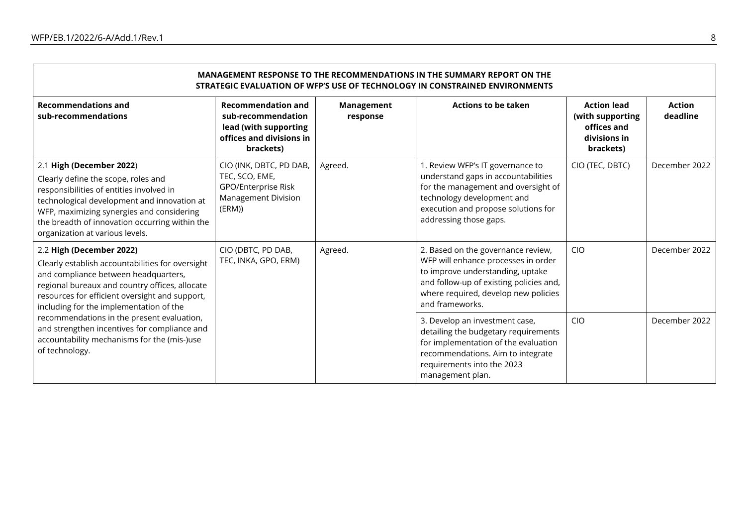| MANAGEMENT RESPONSE TO THE RECOMMENDATIONS IN THE SUMMARY REPORT ON THE<br>STRATEGIC EVALUATION OF WFP'S USE OF TECHNOLOGY IN CONSTRAINED ENVIRONMENTS                                                                                                                                       |                                                                                                                   |                        |                                                                                                                                                                                                                     |                                                                                    |                           |  |  |  |
|----------------------------------------------------------------------------------------------------------------------------------------------------------------------------------------------------------------------------------------------------------------------------------------------|-------------------------------------------------------------------------------------------------------------------|------------------------|---------------------------------------------------------------------------------------------------------------------------------------------------------------------------------------------------------------------|------------------------------------------------------------------------------------|---------------------------|--|--|--|
| <b>Recommendations and</b><br>sub-recommendations                                                                                                                                                                                                                                            | <b>Recommendation and</b><br>sub-recommendation<br>lead (with supporting<br>offices and divisions in<br>brackets) | Management<br>response | <b>Actions to be taken</b>                                                                                                                                                                                          | <b>Action lead</b><br>(with supporting<br>offices and<br>divisions in<br>brackets) | <b>Action</b><br>deadline |  |  |  |
| 2.1 High (December 2022)<br>Clearly define the scope, roles and<br>responsibilities of entities involved in<br>technological development and innovation at<br>WFP, maximizing synergies and considering<br>the breadth of innovation occurring within the<br>organization at various levels. | CIO (INK, DBTC, PD DAB,<br>TEC, SCO, EME,<br>GPO/Enterprise Risk<br><b>Management Division</b><br>(ERM)           | Agreed.                | 1. Review WFP's IT governance to<br>understand gaps in accountabilities<br>for the management and oversight of<br>technology development and<br>execution and propose solutions for<br>addressing those gaps.       | CIO (TEC, DBTC)                                                                    | December 2022             |  |  |  |
| 2.2 High (December 2022)<br>Clearly establish accountabilities for oversight<br>and compliance between headquarters,<br>regional bureaux and country offices, allocate<br>resources for efficient oversight and support,<br>including for the implementation of the                          | CIO (DBTC, PD DAB,<br>TEC, INKA, GPO, ERM)                                                                        | Agreed.                | 2. Based on the governance review,<br>WFP will enhance processes in order<br>to improve understanding, uptake<br>and follow-up of existing policies and,<br>where required, develop new policies<br>and frameworks. | <b>CIO</b>                                                                         | December 2022             |  |  |  |
| recommendations in the present evaluation,<br>and strengthen incentives for compliance and<br>accountability mechanisms for the (mis-)use<br>of technology.                                                                                                                                  |                                                                                                                   |                        | 3. Develop an investment case,<br>detailing the budgetary requirements<br>for implementation of the evaluation<br>recommendations. Aim to integrate<br>requirements into the 2023<br>management plan.               | <b>CIO</b>                                                                         | December 2022             |  |  |  |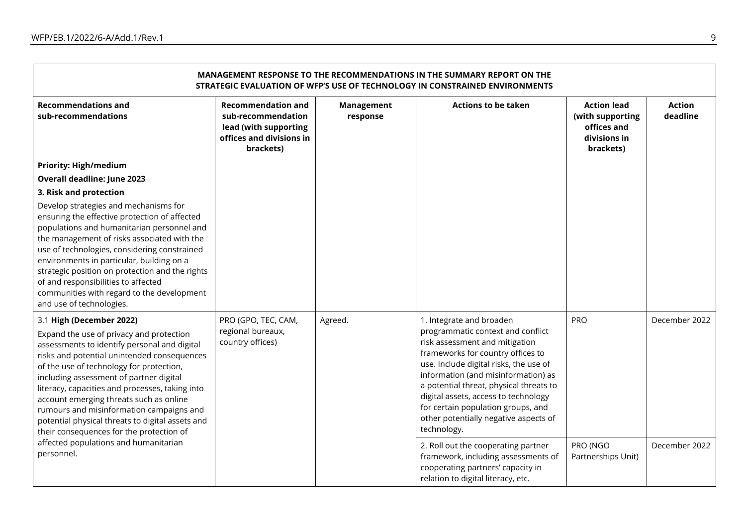**F** 

| <b>MANAGEMENT RESPONSE TO THE RECOMMENDATIONS IN THE SUMMARY REPORT ON THE</b><br>STRATEGIC EVALUATION OF WFP'S USE OF TECHNOLOGY IN CONSTRAINED ENVIRONMENTS                                                                                                                                                                                                                                                                                                                                        |                                                                                                                   |                        |                                                                                                                                                                                                                                                                                                                                                                                                        |                                                                                    |                           |  |  |  |
|------------------------------------------------------------------------------------------------------------------------------------------------------------------------------------------------------------------------------------------------------------------------------------------------------------------------------------------------------------------------------------------------------------------------------------------------------------------------------------------------------|-------------------------------------------------------------------------------------------------------------------|------------------------|--------------------------------------------------------------------------------------------------------------------------------------------------------------------------------------------------------------------------------------------------------------------------------------------------------------------------------------------------------------------------------------------------------|------------------------------------------------------------------------------------|---------------------------|--|--|--|
| <b>Recommendations and</b><br>sub-recommendations                                                                                                                                                                                                                                                                                                                                                                                                                                                    | <b>Recommendation and</b><br>sub-recommendation<br>lead (with supporting<br>offices and divisions in<br>brackets) | Management<br>response | <b>Actions to be taken</b>                                                                                                                                                                                                                                                                                                                                                                             | <b>Action lead</b><br>(with supporting<br>offices and<br>divisions in<br>brackets) | <b>Action</b><br>deadline |  |  |  |
| <b>Priority: High/medium</b>                                                                                                                                                                                                                                                                                                                                                                                                                                                                         |                                                                                                                   |                        |                                                                                                                                                                                                                                                                                                                                                                                                        |                                                                                    |                           |  |  |  |
| <b>Overall deadline: June 2023</b>                                                                                                                                                                                                                                                                                                                                                                                                                                                                   |                                                                                                                   |                        |                                                                                                                                                                                                                                                                                                                                                                                                        |                                                                                    |                           |  |  |  |
| 3. Risk and protection                                                                                                                                                                                                                                                                                                                                                                                                                                                                               |                                                                                                                   |                        |                                                                                                                                                                                                                                                                                                                                                                                                        |                                                                                    |                           |  |  |  |
| Develop strategies and mechanisms for<br>ensuring the effective protection of affected<br>populations and humanitarian personnel and<br>the management of risks associated with the<br>use of technologies, considering constrained<br>environments in particular, building on a<br>strategic position on protection and the rights<br>of and responsibilities to affected<br>communities with regard to the development<br>and use of technologies.                                                 |                                                                                                                   |                        |                                                                                                                                                                                                                                                                                                                                                                                                        |                                                                                    |                           |  |  |  |
| 3.1 High (December 2022)<br>Expand the use of privacy and protection<br>assessments to identify personal and digital<br>risks and potential unintended consequences<br>of the use of technology for protection,<br>including assessment of partner digital<br>literacy, capacities and processes, taking into<br>account emerging threats such as online<br>rumours and misinformation campaigns and<br>potential physical threats to digital assets and<br>their consequences for the protection of | PRO (GPO, TEC, CAM,<br>regional bureaux,<br>country offices)                                                      | Agreed.                | 1. Integrate and broaden<br>programmatic context and conflict<br>risk assessment and mitigation<br>frameworks for country offices to<br>use. Include digital risks, the use of<br>information (and misinformation) as<br>a potential threat, physical threats to<br>digital assets, access to technology<br>for certain population groups, and<br>other potentially negative aspects of<br>technology. | PRO                                                                                | December 2022             |  |  |  |
| affected populations and humanitarian<br>personnel.                                                                                                                                                                                                                                                                                                                                                                                                                                                  |                                                                                                                   |                        | 2. Roll out the cooperating partner<br>framework, including assessments of<br>cooperating partners' capacity in<br>relation to digital literacy, etc.                                                                                                                                                                                                                                                  | PRO (NGO<br>Partnerships Unit)                                                     | December 2022             |  |  |  |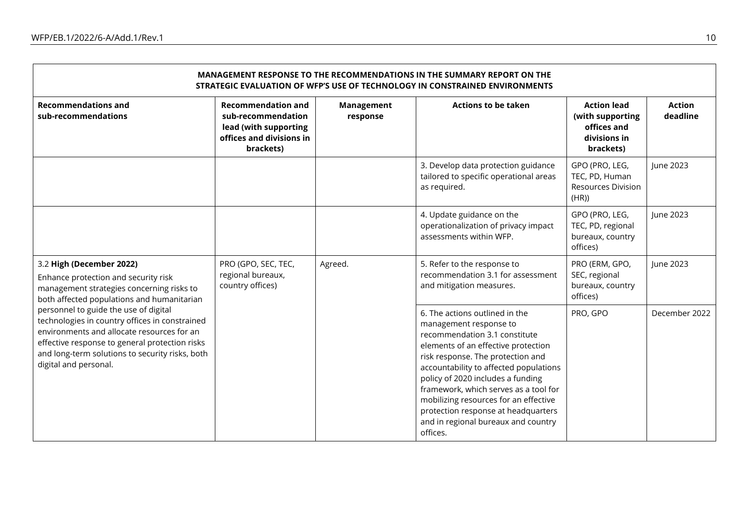| MANAGEMENT RESPONSE TO THE RECOMMENDATIONS IN THE SUMMARY REPORT ON THE<br>STRATEGIC EVALUATION OF WFP'S USE OF TECHNOLOGY IN CONSTRAINED ENVIRONMENTS                                                                                                              |                                                                                                                   |                        |                                                                                                                                                                                                                                                                                                                                                                                                                                  |                                                                                    |                           |  |  |  |
|---------------------------------------------------------------------------------------------------------------------------------------------------------------------------------------------------------------------------------------------------------------------|-------------------------------------------------------------------------------------------------------------------|------------------------|----------------------------------------------------------------------------------------------------------------------------------------------------------------------------------------------------------------------------------------------------------------------------------------------------------------------------------------------------------------------------------------------------------------------------------|------------------------------------------------------------------------------------|---------------------------|--|--|--|
| <b>Recommendations and</b><br>sub-recommendations                                                                                                                                                                                                                   | <b>Recommendation and</b><br>sub-recommendation<br>lead (with supporting<br>offices and divisions in<br>brackets) | Management<br>response | <b>Actions to be taken</b>                                                                                                                                                                                                                                                                                                                                                                                                       | <b>Action lead</b><br>(with supporting<br>offices and<br>divisions in<br>brackets) | <b>Action</b><br>deadline |  |  |  |
|                                                                                                                                                                                                                                                                     |                                                                                                                   |                        | 3. Develop data protection guidance<br>tailored to specific operational areas<br>as required.                                                                                                                                                                                                                                                                                                                                    | GPO (PRO, LEG,<br>TEC, PD, Human<br><b>Resources Division</b><br>(HR))             | June 2023                 |  |  |  |
|                                                                                                                                                                                                                                                                     |                                                                                                                   |                        | 4. Update guidance on the<br>operationalization of privacy impact<br>assessments within WFP.                                                                                                                                                                                                                                                                                                                                     | GPO (PRO, LEG,<br>TEC, PD, regional<br>bureaux, country<br>offices)                | June 2023                 |  |  |  |
| 3.2 High (December 2022)<br>Enhance protection and security risk<br>management strategies concerning risks to<br>both affected populations and humanitarian                                                                                                         | PRO (GPO, SEC, TEC,<br>regional bureaux,<br>country offices)                                                      | Agreed.                | 5. Refer to the response to<br>recommendation 3.1 for assessment<br>and mitigation measures.                                                                                                                                                                                                                                                                                                                                     | PRO (ERM, GPO,<br>SEC, regional<br>bureaux, country<br>offices)                    | June 2023                 |  |  |  |
| personnel to guide the use of digital<br>technologies in country offices in constrained<br>environments and allocate resources for an<br>effective response to general protection risks<br>and long-term solutions to security risks, both<br>digital and personal. |                                                                                                                   |                        | 6. The actions outlined in the<br>management response to<br>recommendation 3.1 constitute<br>elements of an effective protection<br>risk response. The protection and<br>accountability to affected populations<br>policy of 2020 includes a funding<br>framework, which serves as a tool for<br>mobilizing resources for an effective<br>protection response at headquarters<br>and in regional bureaux and country<br>offices. | PRO, GPO                                                                           | December 2022             |  |  |  |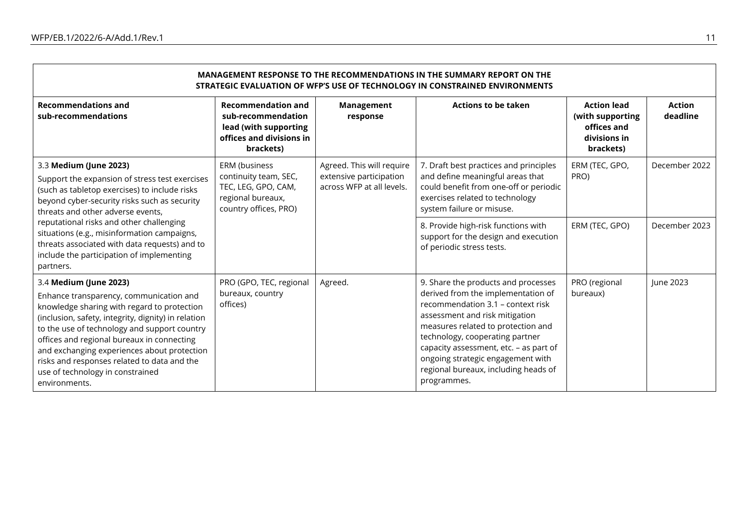| MANAGEMENT RESPONSE TO THE RECOMMENDATIONS IN THE SUMMARY REPORT ON THE<br>STRATEGIC EVALUATION OF WFP'S USE OF TECHNOLOGY IN CONSTRAINED ENVIRONMENTS                                                                                                                                                                                                                                                                   |                                                                                                                   |                                                                                   |                                                                                                                                                                                                                                                                                                                                                                 |                                                                                    |                           |  |  |  |
|--------------------------------------------------------------------------------------------------------------------------------------------------------------------------------------------------------------------------------------------------------------------------------------------------------------------------------------------------------------------------------------------------------------------------|-------------------------------------------------------------------------------------------------------------------|-----------------------------------------------------------------------------------|-----------------------------------------------------------------------------------------------------------------------------------------------------------------------------------------------------------------------------------------------------------------------------------------------------------------------------------------------------------------|------------------------------------------------------------------------------------|---------------------------|--|--|--|
| <b>Recommendations and</b><br>sub-recommendations                                                                                                                                                                                                                                                                                                                                                                        | <b>Recommendation and</b><br>sub-recommendation<br>lead (with supporting<br>offices and divisions in<br>brackets) | <b>Management</b><br>response                                                     | <b>Actions to be taken</b>                                                                                                                                                                                                                                                                                                                                      | <b>Action lead</b><br>(with supporting<br>offices and<br>divisions in<br>brackets) | <b>Action</b><br>deadline |  |  |  |
| 3.3 Medium (June 2023)<br>ERM (business<br>Support the expansion of stress test exercises<br>TEC, LEG, GPO, CAM,<br>(such as tabletop exercises) to include risks<br>regional bureaux,<br>beyond cyber-security risks such as security<br>threats and other adverse events,                                                                                                                                              | continuity team, SEC,<br>country offices, PRO)                                                                    | Agreed. This will require<br>extensive participation<br>across WFP at all levels. | 7. Draft best practices and principles<br>and define meaningful areas that<br>could benefit from one-off or periodic<br>exercises related to technology<br>system failure or misuse.                                                                                                                                                                            | ERM (TEC, GPO,<br>PRO)                                                             | December 2022             |  |  |  |
| reputational risks and other challenging<br>situations (e.g., misinformation campaigns,<br>threats associated with data requests) and to<br>include the participation of implementing<br>partners.                                                                                                                                                                                                                       |                                                                                                                   |                                                                                   | 8. Provide high-risk functions with<br>support for the design and execution<br>of periodic stress tests.                                                                                                                                                                                                                                                        | ERM (TEC, GPO)                                                                     | December 2023             |  |  |  |
| 3.4 Medium (June 2023)<br>Enhance transparency, communication and<br>knowledge sharing with regard to protection<br>(inclusion, safety, integrity, dignity) in relation<br>to the use of technology and support country<br>offices and regional bureaux in connecting<br>and exchanging experiences about protection<br>risks and responses related to data and the<br>use of technology in constrained<br>environments. | PRO (GPO, TEC, regional<br>bureaux, country<br>offices)                                                           | Agreed.                                                                           | 9. Share the products and processes<br>derived from the implementation of<br>recommendation 3.1 - context risk<br>assessment and risk mitigation<br>measures related to protection and<br>technology, cooperating partner<br>capacity assessment, etc. - as part of<br>ongoing strategic engagement with<br>regional bureaux, including heads of<br>programmes. | PRO (regional<br>bureaux)                                                          | June 2023                 |  |  |  |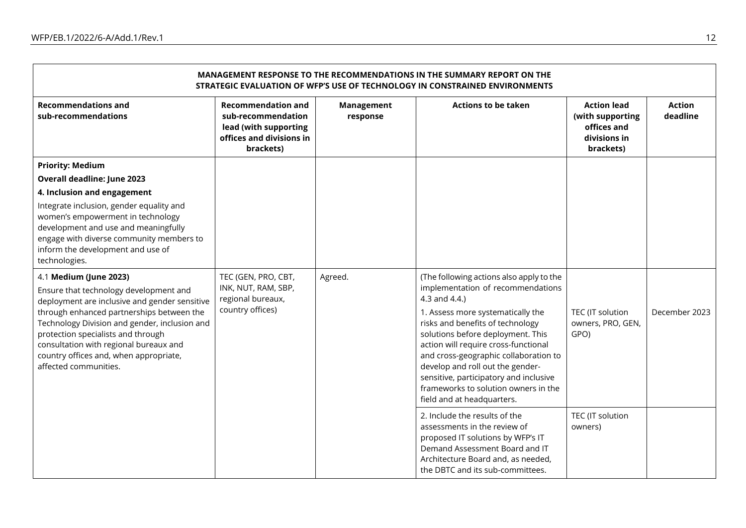| MANAGEMENT RESPONSE TO THE RECOMMENDATIONS IN THE SUMMARY REPORT ON THE<br>STRATEGIC EVALUATION OF WFP'S USE OF TECHNOLOGY IN CONSTRAINED ENVIRONMENTS                                                                                                                                                                                   |                                                                                                                   |                        |                                                                                                                                                                                                                                                                                                                                                                                                       |                                                                                    |                           |  |  |  |
|------------------------------------------------------------------------------------------------------------------------------------------------------------------------------------------------------------------------------------------------------------------------------------------------------------------------------------------|-------------------------------------------------------------------------------------------------------------------|------------------------|-------------------------------------------------------------------------------------------------------------------------------------------------------------------------------------------------------------------------------------------------------------------------------------------------------------------------------------------------------------------------------------------------------|------------------------------------------------------------------------------------|---------------------------|--|--|--|
| <b>Recommendations and</b><br>sub-recommendations                                                                                                                                                                                                                                                                                        | <b>Recommendation and</b><br>sub-recommendation<br>lead (with supporting<br>offices and divisions in<br>brackets) | Management<br>response | <b>Actions to be taken</b>                                                                                                                                                                                                                                                                                                                                                                            | <b>Action lead</b><br>(with supporting<br>offices and<br>divisions in<br>brackets) | <b>Action</b><br>deadline |  |  |  |
| <b>Priority: Medium</b>                                                                                                                                                                                                                                                                                                                  |                                                                                                                   |                        |                                                                                                                                                                                                                                                                                                                                                                                                       |                                                                                    |                           |  |  |  |
| Overall deadline: June 2023                                                                                                                                                                                                                                                                                                              |                                                                                                                   |                        |                                                                                                                                                                                                                                                                                                                                                                                                       |                                                                                    |                           |  |  |  |
| 4. Inclusion and engagement                                                                                                                                                                                                                                                                                                              |                                                                                                                   |                        |                                                                                                                                                                                                                                                                                                                                                                                                       |                                                                                    |                           |  |  |  |
| Integrate inclusion, gender equality and<br>women's empowerment in technology<br>development and use and meaningfully<br>engage with diverse community members to<br>inform the development and use of<br>technologies.                                                                                                                  |                                                                                                                   |                        |                                                                                                                                                                                                                                                                                                                                                                                                       |                                                                                    |                           |  |  |  |
| 4.1 Medium (June 2023)                                                                                                                                                                                                                                                                                                                   | TEC (GEN, PRO, CBT,                                                                                               | Agreed.                | (The following actions also apply to the                                                                                                                                                                                                                                                                                                                                                              |                                                                                    |                           |  |  |  |
| Ensure that technology development and<br>deployment are inclusive and gender sensitive<br>through enhanced partnerships between the<br>Technology Division and gender, inclusion and<br>protection specialists and through<br>consultation with regional bureaux and<br>country offices and, when appropriate,<br>affected communities. | INK, NUT, RAM, SBP,<br>regional bureaux,<br>country offices)                                                      |                        | implementation of recommendations<br>4.3 and 4.4.)<br>1. Assess more systematically the<br>risks and benefits of technology<br>solutions before deployment. This<br>action will require cross-functional<br>and cross-geographic collaboration to<br>develop and roll out the gender-<br>sensitive, participatory and inclusive<br>frameworks to solution owners in the<br>field and at headquarters. | TEC (IT solution<br>owners, PRO, GEN,<br>GPO)                                      | December 2023             |  |  |  |
|                                                                                                                                                                                                                                                                                                                                          |                                                                                                                   |                        | 2. Include the results of the<br>assessments in the review of<br>proposed IT solutions by WFP's IT<br>Demand Assessment Board and IT<br>Architecture Board and, as needed,<br>the DBTC and its sub-committees.                                                                                                                                                                                        | TEC (IT solution<br>owners)                                                        |                           |  |  |  |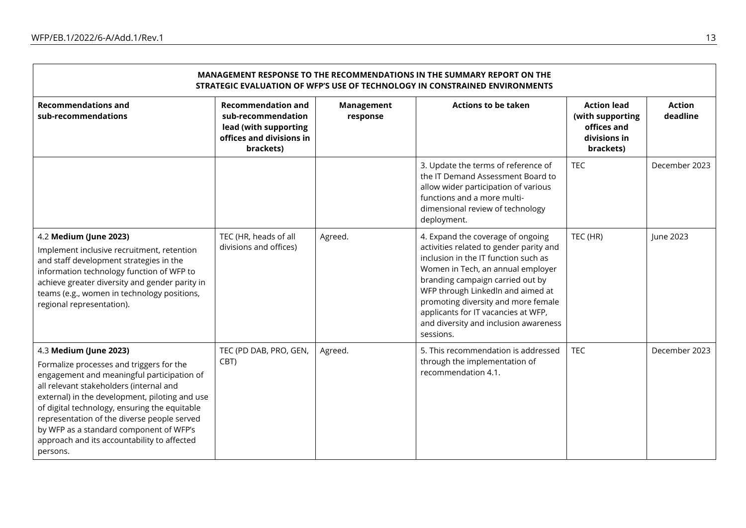| <b>MANAGEMENT RESPONSE TO THE RECOMMENDATIONS IN THE SUMMARY REPORT ON THE</b><br>STRATEGIC EVALUATION OF WFP'S USE OF TECHNOLOGY IN CONSTRAINED ENVIRONMENTS                                                                                                                                                                                                                                                       |                                                                                                                   |                               |                                                                                                                                                                                                                                                                                                                                                                        |                                                                                    |                           |  |  |  |
|---------------------------------------------------------------------------------------------------------------------------------------------------------------------------------------------------------------------------------------------------------------------------------------------------------------------------------------------------------------------------------------------------------------------|-------------------------------------------------------------------------------------------------------------------|-------------------------------|------------------------------------------------------------------------------------------------------------------------------------------------------------------------------------------------------------------------------------------------------------------------------------------------------------------------------------------------------------------------|------------------------------------------------------------------------------------|---------------------------|--|--|--|
| <b>Recommendations and</b><br>sub-recommendations                                                                                                                                                                                                                                                                                                                                                                   | <b>Recommendation and</b><br>sub-recommendation<br>lead (with supporting<br>offices and divisions in<br>brackets) | <b>Management</b><br>response | <b>Actions to be taken</b>                                                                                                                                                                                                                                                                                                                                             | <b>Action lead</b><br>(with supporting<br>offices and<br>divisions in<br>brackets) | <b>Action</b><br>deadline |  |  |  |
|                                                                                                                                                                                                                                                                                                                                                                                                                     |                                                                                                                   |                               | 3. Update the terms of reference of<br>the IT Demand Assessment Board to<br>allow wider participation of various<br>functions and a more multi-<br>dimensional review of technology<br>deployment.                                                                                                                                                                     | <b>TEC</b>                                                                         | December 2023             |  |  |  |
| 4.2 Medium (June 2023)<br>Implement inclusive recruitment, retention<br>and staff development strategies in the<br>information technology function of WFP to<br>achieve greater diversity and gender parity in<br>teams (e.g., women in technology positions,<br>regional representation).                                                                                                                          | TEC (HR, heads of all<br>divisions and offices)                                                                   | Agreed.                       | 4. Expand the coverage of ongoing<br>activities related to gender parity and<br>inclusion in the IT function such as<br>Women in Tech, an annual employer<br>branding campaign carried out by<br>WFP through Linkedln and aimed at<br>promoting diversity and more female<br>applicants for IT vacancies at WFP,<br>and diversity and inclusion awareness<br>sessions. | TEC (HR)                                                                           | June 2023                 |  |  |  |
| 4.3 Medium (June 2023)<br>Formalize processes and triggers for the<br>engagement and meaningful participation of<br>all relevant stakeholders (internal and<br>external) in the development, piloting and use<br>of digital technology, ensuring the equitable<br>representation of the diverse people served<br>by WFP as a standard component of WFP's<br>approach and its accountability to affected<br>persons. | TEC (PD DAB, PRO, GEN,<br>CBT)                                                                                    | Agreed.                       | 5. This recommendation is addressed<br>through the implementation of<br>recommendation 4.1.                                                                                                                                                                                                                                                                            | <b>TEC</b>                                                                         | December 2023             |  |  |  |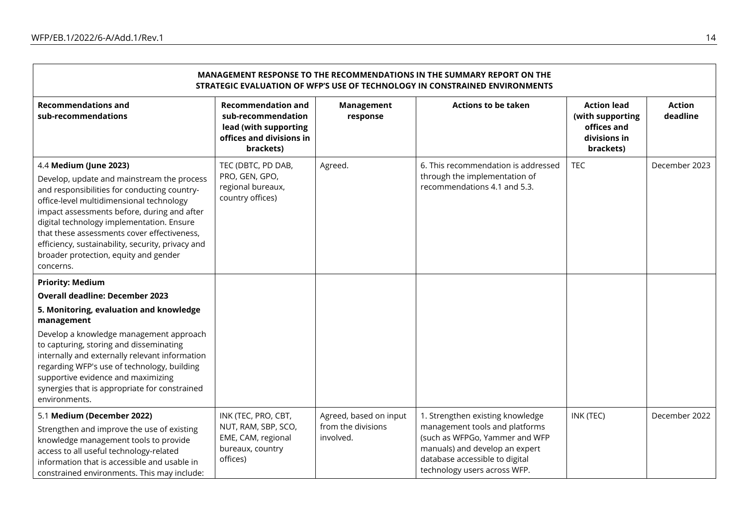| <b>MANAGEMENT RESPONSE TO THE RECOMMENDATIONS IN THE SUMMARY REPORT ON THE</b><br>STRATEGIC EVALUATION OF WFP'S USE OF TECHNOLOGY IN CONSTRAINED ENVIRONMENTS                                                                                                                                                                                                                                                          |                                                                                                                   |                                 |                                                                                                                                                                      |                                                                                    |                           |  |  |  |
|------------------------------------------------------------------------------------------------------------------------------------------------------------------------------------------------------------------------------------------------------------------------------------------------------------------------------------------------------------------------------------------------------------------------|-------------------------------------------------------------------------------------------------------------------|---------------------------------|----------------------------------------------------------------------------------------------------------------------------------------------------------------------|------------------------------------------------------------------------------------|---------------------------|--|--|--|
| <b>Recommendations and</b><br>sub-recommendations                                                                                                                                                                                                                                                                                                                                                                      | <b>Recommendation and</b><br>sub-recommendation<br>lead (with supporting<br>offices and divisions in<br>brackets) | <b>Management</b><br>response   | <b>Actions to be taken</b>                                                                                                                                           | <b>Action lead</b><br>(with supporting<br>offices and<br>divisions in<br>brackets) | <b>Action</b><br>deadline |  |  |  |
| 4.4 Medium (June 2023)<br>Develop, update and mainstream the process<br>and responsibilities for conducting country-<br>office-level multidimensional technology<br>impact assessments before, during and after<br>digital technology implementation. Ensure<br>that these assessments cover effectiveness,<br>efficiency, sustainability, security, privacy and<br>broader protection, equity and gender<br>concerns. | TEC (DBTC, PD DAB,<br>PRO, GEN, GPO,<br>regional bureaux,<br>country offices)                                     | Agreed.                         | 6. This recommendation is addressed<br>through the implementation of<br>recommendations 4.1 and 5.3.                                                                 | <b>TEC</b>                                                                         | December 2023             |  |  |  |
| <b>Priority: Medium</b>                                                                                                                                                                                                                                                                                                                                                                                                |                                                                                                                   |                                 |                                                                                                                                                                      |                                                                                    |                           |  |  |  |
| <b>Overall deadline: December 2023</b>                                                                                                                                                                                                                                                                                                                                                                                 |                                                                                                                   |                                 |                                                                                                                                                                      |                                                                                    |                           |  |  |  |
| 5. Monitoring, evaluation and knowledge<br>management                                                                                                                                                                                                                                                                                                                                                                  |                                                                                                                   |                                 |                                                                                                                                                                      |                                                                                    |                           |  |  |  |
| Develop a knowledge management approach<br>to capturing, storing and disseminating<br>internally and externally relevant information<br>regarding WFP's use of technology, building<br>supportive evidence and maximizing<br>synergies that is appropriate for constrained<br>environments.                                                                                                                            |                                                                                                                   |                                 |                                                                                                                                                                      |                                                                                    |                           |  |  |  |
| 5.1 Medium (December 2022)                                                                                                                                                                                                                                                                                                                                                                                             | INK (TEC, PRO, CBT,                                                                                               | Agreed, based on input          | 1. Strengthen existing knowledge                                                                                                                                     | INK (TEC)                                                                          | December 2022             |  |  |  |
| Strengthen and improve the use of existing<br>knowledge management tools to provide<br>access to all useful technology-related<br>information that is accessible and usable in<br>constrained environments. This may include:                                                                                                                                                                                          | NUT, RAM, SBP, SCO,<br>EME, CAM, regional<br>bureaux, country<br>offices)                                         | from the divisions<br>involved. | management tools and platforms<br>(such as WFPGo, Yammer and WFP<br>manuals) and develop an expert<br>database accessible to digital<br>technology users across WFP. |                                                                                    |                           |  |  |  |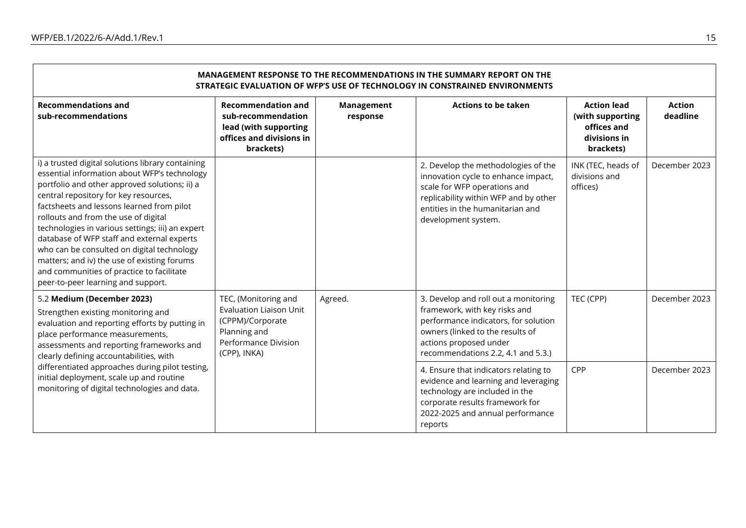| <b>MANAGEMENT RESPONSE TO THE RECOMMENDATIONS IN THE SUMMARY REPORT ON THE</b><br>STRATEGIC EVALUATION OF WFP'S USE OF TECHNOLOGY IN CONSTRAINED ENVIRONMENTS                                                                                                                                                                                                                                                                                                                                                                                                      |                                                                                                                                    |                        |                                                                                                                                                                                                                   |                                                                                    |                           |  |
|--------------------------------------------------------------------------------------------------------------------------------------------------------------------------------------------------------------------------------------------------------------------------------------------------------------------------------------------------------------------------------------------------------------------------------------------------------------------------------------------------------------------------------------------------------------------|------------------------------------------------------------------------------------------------------------------------------------|------------------------|-------------------------------------------------------------------------------------------------------------------------------------------------------------------------------------------------------------------|------------------------------------------------------------------------------------|---------------------------|--|
| <b>Recommendations and</b><br>sub-recommendations                                                                                                                                                                                                                                                                                                                                                                                                                                                                                                                  | <b>Recommendation and</b><br>sub-recommendation<br>lead (with supporting<br>offices and divisions in<br>brackets)                  | Management<br>response | <b>Actions to be taken</b>                                                                                                                                                                                        | <b>Action lead</b><br>(with supporting<br>offices and<br>divisions in<br>brackets) | <b>Action</b><br>deadline |  |
| i) a trusted digital solutions library containing<br>essential information about WFP's technology<br>portfolio and other approved solutions; ii) a<br>central repository for key resources,<br>factsheets and lessons learned from pilot<br>rollouts and from the use of digital<br>technologies in various settings; iii) an expert<br>database of WFP staff and external experts<br>who can be consulted on digital technology<br>matters; and iv) the use of existing forums<br>and communities of practice to facilitate<br>peer-to-peer learning and support. |                                                                                                                                    |                        | 2. Develop the methodologies of the<br>innovation cycle to enhance impact,<br>scale for WFP operations and<br>replicability within WFP and by other<br>entities in the humanitarian and<br>development system.    | INK (TEC, heads of<br>divisions and<br>offices)                                    | December 2023             |  |
| 5.2 Medium (December 2023)<br>Strengthen existing monitoring and<br>evaluation and reporting efforts by putting in<br>place performance measurements,<br>assessments and reporting frameworks and<br>clearly defining accountabilities, with<br>differentiated approaches during pilot testing,<br>initial deployment, scale up and routine<br>monitoring of digital technologies and data.                                                                                                                                                                        | TEC, (Monitoring and<br><b>Evaluation Liaison Unit</b><br>(CPPM)/Corporate<br>Planning and<br>Performance Division<br>(CPP), INKA) | Agreed.                | 3. Develop and roll out a monitoring<br>framework, with key risks and<br>performance indicators, for solution<br>owners (linked to the results of<br>actions proposed under<br>recommendations 2.2, 4.1 and 5.3.) | TEC (CPP)                                                                          | December 2023             |  |
|                                                                                                                                                                                                                                                                                                                                                                                                                                                                                                                                                                    |                                                                                                                                    |                        | 4. Ensure that indicators relating to<br>evidence and learning and leveraging<br>technology are included in the<br>corporate results framework for<br>2022-2025 and annual performance<br>reports                 | CPP                                                                                | December 2023             |  |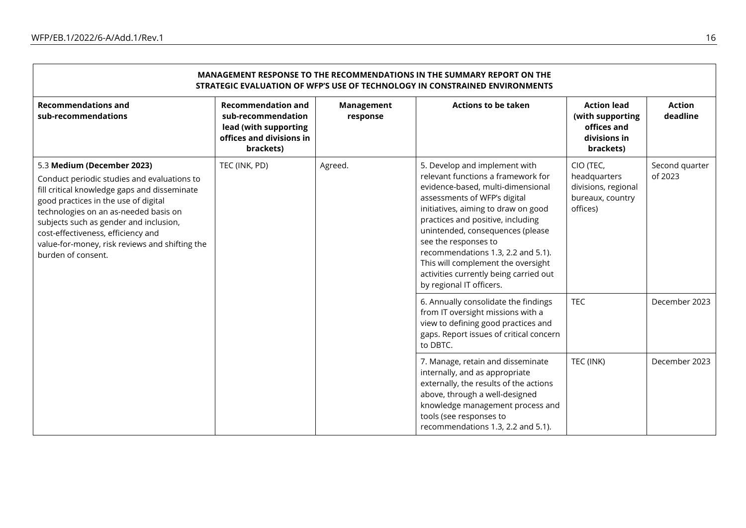| MANAGEMENT RESPONSE TO THE RECOMMENDATIONS IN THE SUMMARY REPORT ON THE<br>STRATEGIC EVALUATION OF WFP'S USE OF TECHNOLOGY IN CONSTRAINED ENVIRONMENTS                                                                                                                                                                                                             |                                                                                                                   |                               |                                                                                                                                                                                                                                                                                                                                                                                                                                    |                                                                                    |                                            |  |
|--------------------------------------------------------------------------------------------------------------------------------------------------------------------------------------------------------------------------------------------------------------------------------------------------------------------------------------------------------------------|-------------------------------------------------------------------------------------------------------------------|-------------------------------|------------------------------------------------------------------------------------------------------------------------------------------------------------------------------------------------------------------------------------------------------------------------------------------------------------------------------------------------------------------------------------------------------------------------------------|------------------------------------------------------------------------------------|--------------------------------------------|--|
| <b>Recommendations and</b><br>sub-recommendations                                                                                                                                                                                                                                                                                                                  | <b>Recommendation and</b><br>sub-recommendation<br>lead (with supporting<br>offices and divisions in<br>brackets) | <b>Management</b><br>response | <b>Actions to be taken</b>                                                                                                                                                                                                                                                                                                                                                                                                         | <b>Action lead</b><br>(with supporting<br>offices and<br>divisions in<br>brackets) | <b>Action</b><br>deadline                  |  |
| 5.3 Medium (December 2023)<br>Conduct periodic studies and evaluations to<br>fill critical knowledge gaps and disseminate<br>good practices in the use of digital<br>technologies on an as-needed basis on<br>subjects such as gender and inclusion,<br>cost-effectiveness, efficiency and<br>value-for-money, risk reviews and shifting the<br>burden of consent. | TEC (INK, PD)                                                                                                     | Agreed.                       | 5. Develop and implement with<br>relevant functions a framework for<br>evidence-based, multi-dimensional<br>assessments of WFP's digital<br>initiatives, aiming to draw on good<br>practices and positive, including<br>unintended, consequences (please<br>see the responses to<br>recommendations 1.3, 2.2 and 5.1).<br>This will complement the oversight<br>activities currently being carried out<br>by regional IT officers. | CIO (TEC,<br>headquarters<br>divisions, regional<br>bureaux, country<br>offices)   | Second quarter<br>of 2023<br>December 2023 |  |
|                                                                                                                                                                                                                                                                                                                                                                    |                                                                                                                   |                               | 6. Annually consolidate the findings<br>from IT oversight missions with a<br>view to defining good practices and<br>gaps. Report issues of critical concern<br>to DBTC.                                                                                                                                                                                                                                                            | <b>TEC</b>                                                                         |                                            |  |
|                                                                                                                                                                                                                                                                                                                                                                    |                                                                                                                   |                               | 7. Manage, retain and disseminate<br>internally, and as appropriate<br>externally, the results of the actions<br>above, through a well-designed<br>knowledge management process and<br>tools (see responses to<br>recommendations 1.3, 2.2 and 5.1).                                                                                                                                                                               | TEC (INK)                                                                          | December 2023                              |  |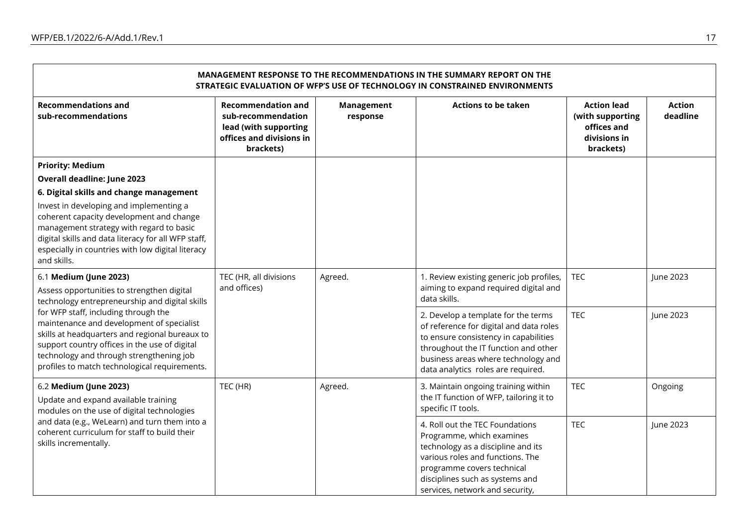$\blacksquare$ 

| MANAGEMENT RESPONSE TO THE RECOMMENDATIONS IN THE SUMMARY REPORT ON THE<br>STRATEGIC EVALUATION OF WFP'S USE OF TECHNOLOGY IN CONSTRAINED ENVIRONMENTS                                                                                                                            |                                                                                                                   |                               |                                                                                                                                                                                                                                              |                                                                                    |                           |  |
|-----------------------------------------------------------------------------------------------------------------------------------------------------------------------------------------------------------------------------------------------------------------------------------|-------------------------------------------------------------------------------------------------------------------|-------------------------------|----------------------------------------------------------------------------------------------------------------------------------------------------------------------------------------------------------------------------------------------|------------------------------------------------------------------------------------|---------------------------|--|
| <b>Recommendations and</b><br>sub-recommendations                                                                                                                                                                                                                                 | <b>Recommendation and</b><br>sub-recommendation<br>lead (with supporting<br>offices and divisions in<br>brackets) | <b>Management</b><br>response | <b>Actions to be taken</b>                                                                                                                                                                                                                   | <b>Action lead</b><br>(with supporting<br>offices and<br>divisions in<br>brackets) | <b>Action</b><br>deadline |  |
| <b>Priority: Medium</b>                                                                                                                                                                                                                                                           |                                                                                                                   |                               |                                                                                                                                                                                                                                              |                                                                                    |                           |  |
| <b>Overall deadline: June 2023</b>                                                                                                                                                                                                                                                |                                                                                                                   |                               |                                                                                                                                                                                                                                              |                                                                                    |                           |  |
| 6. Digital skills and change management                                                                                                                                                                                                                                           |                                                                                                                   |                               |                                                                                                                                                                                                                                              |                                                                                    |                           |  |
| Invest in developing and implementing a<br>coherent capacity development and change<br>management strategy with regard to basic<br>digital skills and data literacy for all WFP staff,<br>especially in countries with low digital literacy<br>and skills.                        |                                                                                                                   |                               |                                                                                                                                                                                                                                              |                                                                                    |                           |  |
| 6.1 Medium (June 2023)                                                                                                                                                                                                                                                            | TEC (HR, all divisions                                                                                            | Agreed.                       | 1. Review existing generic job profiles,                                                                                                                                                                                                     | <b>TEC</b>                                                                         | June 2023                 |  |
| Assess opportunities to strengthen digital<br>technology entrepreneurship and digital skills                                                                                                                                                                                      | and offices)                                                                                                      |                               | aiming to expand required digital and<br>data skills.                                                                                                                                                                                        |                                                                                    |                           |  |
| for WFP staff, including through the<br>maintenance and development of specialist<br>skills at headquarters and regional bureaux to<br>support country offices in the use of digital<br>technology and through strengthening job<br>profiles to match technological requirements. |                                                                                                                   |                               | 2. Develop a template for the terms<br>of reference for digital and data roles<br>to ensure consistency in capabilities<br>throughout the IT function and other<br>business areas where technology and<br>data analytics roles are required. | <b>TEC</b>                                                                         | June 2023                 |  |
| 6.2 Medium (June 2023)<br>Update and expand available training<br>modules on the use of digital technologies<br>and data (e.g., WeLearn) and turn them into a<br>coherent curriculum for staff to build their<br>skills incrementally.                                            | TEC (HR)                                                                                                          | Agreed.                       | 3. Maintain ongoing training within<br>the IT function of WFP, tailoring it to<br>specific IT tools.                                                                                                                                         | <b>TEC</b>                                                                         | Ongoing                   |  |
|                                                                                                                                                                                                                                                                                   |                                                                                                                   |                               | 4. Roll out the TEC Foundations<br>Programme, which examines<br>technology as a discipline and its<br>various roles and functions. The<br>programme covers technical<br>disciplines such as systems and<br>services, network and security,   | <b>TEC</b>                                                                         | June 2023                 |  |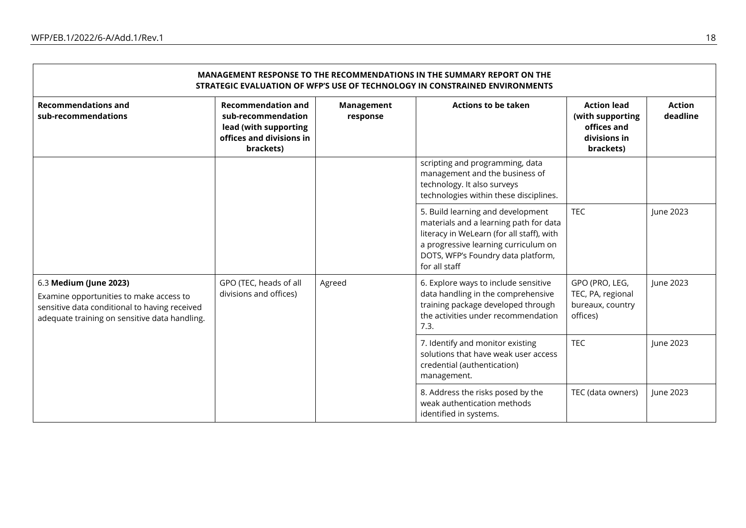| MANAGEMENT RESPONSE TO THE RECOMMENDATIONS IN THE SUMMARY REPORT ON THE<br>STRATEGIC EVALUATION OF WFP'S USE OF TECHNOLOGY IN CONSTRAINED ENVIRONMENTS                                                                  |                                                                                                                   |                                                                                                                                                                 |                                                                                                                                                                                                                         |                                                                                    |                           |  |
|-------------------------------------------------------------------------------------------------------------------------------------------------------------------------------------------------------------------------|-------------------------------------------------------------------------------------------------------------------|-----------------------------------------------------------------------------------------------------------------------------------------------------------------|-------------------------------------------------------------------------------------------------------------------------------------------------------------------------------------------------------------------------|------------------------------------------------------------------------------------|---------------------------|--|
| <b>Recommendations and</b><br>sub-recommendations                                                                                                                                                                       | <b>Recommendation and</b><br>sub-recommendation<br>lead (with supporting<br>offices and divisions in<br>brackets) | <b>Management</b><br>response                                                                                                                                   | <b>Actions to be taken</b>                                                                                                                                                                                              | <b>Action lead</b><br>(with supporting<br>offices and<br>divisions in<br>brackets) | <b>Action</b><br>deadline |  |
|                                                                                                                                                                                                                         |                                                                                                                   |                                                                                                                                                                 | scripting and programming, data<br>management and the business of<br>technology. It also surveys<br>technologies within these disciplines.                                                                              |                                                                                    |                           |  |
|                                                                                                                                                                                                                         |                                                                                                                   |                                                                                                                                                                 | 5. Build learning and development<br>materials and a learning path for data<br>literacy in WeLearn (for all staff), with<br>a progressive learning curriculum on<br>DOTS, WFP's Foundry data platform,<br>for all staff | <b>TEC</b>                                                                         | June 2023                 |  |
| GPO (TEC, heads of all<br>6.3 Medium (June 2023)<br>divisions and offices)<br>Examine opportunities to make access to<br>sensitive data conditional to having received<br>adequate training on sensitive data handling. | Agreed                                                                                                            | 6. Explore ways to include sensitive<br>data handling in the comprehensive<br>training package developed through<br>the activities under recommendation<br>7.3. | GPO (PRO, LEG,<br>TEC, PA, regional<br>bureaux, country<br>offices)                                                                                                                                                     | June 2023                                                                          |                           |  |
|                                                                                                                                                                                                                         |                                                                                                                   | <b>TEC</b><br>7. Identify and monitor existing<br>solutions that have weak user access<br>credential (authentication)<br>management.                            |                                                                                                                                                                                                                         | June 2023                                                                          |                           |  |
|                                                                                                                                                                                                                         |                                                                                                                   |                                                                                                                                                                 | 8. Address the risks posed by the<br>weak authentication methods<br>identified in systems.                                                                                                                              | TEC (data owners)                                                                  | June 2023                 |  |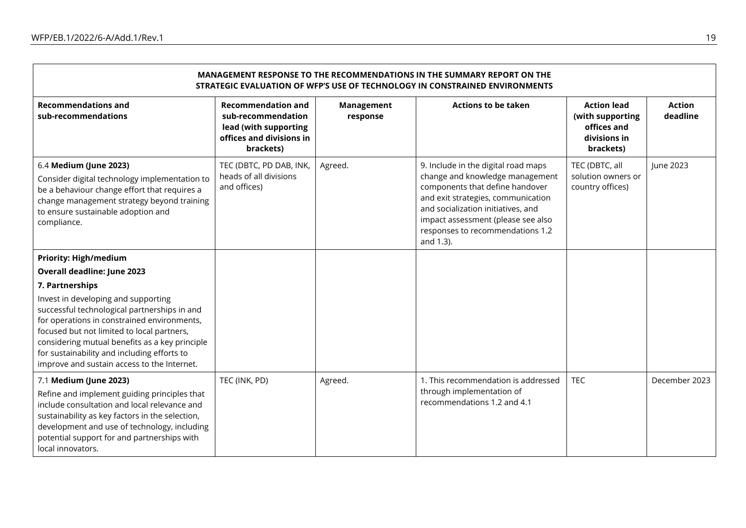| MANAGEMENT RESPONSE TO THE RECOMMENDATIONS IN THE SUMMARY REPORT ON THE<br>STRATEGIC EVALUATION OF WFP'S USE OF TECHNOLOGY IN CONSTRAINED ENVIRONMENTS                                                                                                                                                                           |                                                                                                                   |                               |                                                                                                                                                                                                                                                                              |                                                                                    |                           |  |
|----------------------------------------------------------------------------------------------------------------------------------------------------------------------------------------------------------------------------------------------------------------------------------------------------------------------------------|-------------------------------------------------------------------------------------------------------------------|-------------------------------|------------------------------------------------------------------------------------------------------------------------------------------------------------------------------------------------------------------------------------------------------------------------------|------------------------------------------------------------------------------------|---------------------------|--|
| <b>Recommendations and</b><br>sub-recommendations                                                                                                                                                                                                                                                                                | <b>Recommendation and</b><br>sub-recommendation<br>lead (with supporting<br>offices and divisions in<br>brackets) | <b>Management</b><br>response | <b>Actions to be taken</b>                                                                                                                                                                                                                                                   | <b>Action lead</b><br>(with supporting<br>offices and<br>divisions in<br>brackets) | <b>Action</b><br>deadline |  |
| 6.4 Medium (June 2023)<br>Consider digital technology implementation to<br>be a behaviour change effort that requires a<br>change management strategy beyond training<br>to ensure sustainable adoption and<br>compliance.                                                                                                       | TEC (DBTC, PD DAB, INK,<br>heads of all divisions<br>and offices)                                                 | Agreed.                       | 9. Include in the digital road maps<br>change and knowledge management<br>components that define handover<br>and exit strategies, communication<br>and socialization initiatives, and<br>impact assessment (please see also<br>responses to recommendations 1.2<br>and 1.3). | TEC (DBTC, all<br>solution owners or<br>country offices)                           | June 2023                 |  |
| <b>Priority: High/medium</b>                                                                                                                                                                                                                                                                                                     |                                                                                                                   |                               |                                                                                                                                                                                                                                                                              |                                                                                    |                           |  |
| <b>Overall deadline: June 2023</b>                                                                                                                                                                                                                                                                                               |                                                                                                                   |                               |                                                                                                                                                                                                                                                                              |                                                                                    |                           |  |
| 7. Partnerships                                                                                                                                                                                                                                                                                                                  |                                                                                                                   |                               |                                                                                                                                                                                                                                                                              |                                                                                    |                           |  |
| Invest in developing and supporting<br>successful technological partnerships in and<br>for operations in constrained environments,<br>focused but not limited to local partners,<br>considering mutual benefits as a key principle<br>for sustainability and including efforts to<br>improve and sustain access to the Internet. |                                                                                                                   |                               |                                                                                                                                                                                                                                                                              |                                                                                    |                           |  |
| 7.1 Medium (June 2023)                                                                                                                                                                                                                                                                                                           | TEC (INK, PD)                                                                                                     | Agreed.                       | 1. This recommendation is addressed                                                                                                                                                                                                                                          | <b>TEC</b>                                                                         | December 2023             |  |
| Refine and implement guiding principles that<br>include consultation and local relevance and<br>sustainability as key factors in the selection,<br>development and use of technology, including<br>potential support for and partnerships with<br>local innovators.                                                              |                                                                                                                   |                               | through implementation of<br>recommendations 1.2 and 4.1                                                                                                                                                                                                                     |                                                                                    |                           |  |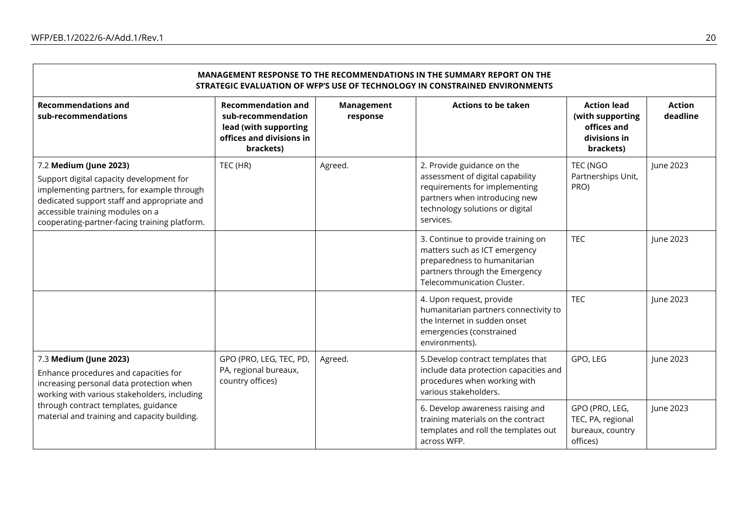| MANAGEMENT RESPONSE TO THE RECOMMENDATIONS IN THE SUMMARY REPORT ON THE<br>STRATEGIC EVALUATION OF WFP'S USE OF TECHNOLOGY IN CONSTRAINED ENVIRONMENTS                                                                                               |                                                                                                                   |                               |                                                                                                                                                                                  |                                                                                    |                           |  |
|------------------------------------------------------------------------------------------------------------------------------------------------------------------------------------------------------------------------------------------------------|-------------------------------------------------------------------------------------------------------------------|-------------------------------|----------------------------------------------------------------------------------------------------------------------------------------------------------------------------------|------------------------------------------------------------------------------------|---------------------------|--|
| <b>Recommendations and</b><br>sub-recommendations                                                                                                                                                                                                    | <b>Recommendation and</b><br>sub-recommendation<br>lead (with supporting<br>offices and divisions in<br>brackets) | <b>Management</b><br>response | <b>Actions to be taken</b>                                                                                                                                                       | <b>Action lead</b><br>(with supporting<br>offices and<br>divisions in<br>brackets) | <b>Action</b><br>deadline |  |
| 7.2 Medium (June 2023)<br>Support digital capacity development for<br>implementing partners, for example through<br>dedicated support staff and appropriate and<br>accessible training modules on a<br>cooperating-partner-facing training platform. | TEC (HR)                                                                                                          | Agreed.                       | 2. Provide guidance on the<br>assessment of digital capability<br>requirements for implementing<br>partners when introducing new<br>technology solutions or digital<br>services. | TEC (NGO<br>Partnerships Unit,<br>PRO)                                             | June 2023                 |  |
|                                                                                                                                                                                                                                                      |                                                                                                                   |                               | 3. Continue to provide training on<br>matters such as ICT emergency<br>preparedness to humanitarian<br>partners through the Emergency<br>Telecommunication Cluster.              | <b>TEC</b>                                                                         | June 2023                 |  |
|                                                                                                                                                                                                                                                      |                                                                                                                   |                               | 4. Upon request, provide<br>humanitarian partners connectivity to<br>the Internet in sudden onset<br>emergencies (constrained<br>environments).                                  | <b>TEC</b>                                                                         | June 2023                 |  |
| 7.3 Medium (June 2023)<br>Enhance procedures and capacities for<br>increasing personal data protection when<br>working with various stakeholders, including<br>through contract templates, guidance<br>material and training and capacity building.  | GPO (PRO, LEG, TEC, PD,<br>PA, regional bureaux,<br>country offices)                                              | Agreed.                       | 5. Develop contract templates that<br>include data protection capacities and<br>procedures when working with<br>various stakeholders.                                            | GPO, LEG                                                                           | June 2023                 |  |
|                                                                                                                                                                                                                                                      |                                                                                                                   |                               | 6. Develop awareness raising and<br>training materials on the contract<br>templates and roll the templates out<br>across WFP.                                                    | GPO (PRO, LEG,<br>TEC, PA, regional<br>bureaux, country<br>offices)                | June 2023                 |  |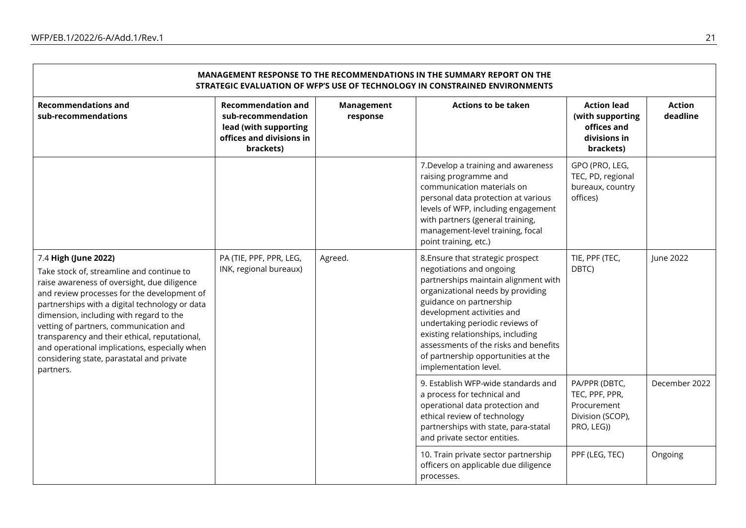| MANAGEMENT RESPONSE TO THE RECOMMENDATIONS IN THE SUMMARY REPORT ON THE<br>STRATEGIC EVALUATION OF WFP'S USE OF TECHNOLOGY IN CONSTRAINED ENVIRONMENTS                                                                                                                                                                                                                                                                                                             |                                                                                                                   |                               |                                                                                                                                                                                                                                                                                                                                                                                      |                                                                                    |                           |  |
|--------------------------------------------------------------------------------------------------------------------------------------------------------------------------------------------------------------------------------------------------------------------------------------------------------------------------------------------------------------------------------------------------------------------------------------------------------------------|-------------------------------------------------------------------------------------------------------------------|-------------------------------|--------------------------------------------------------------------------------------------------------------------------------------------------------------------------------------------------------------------------------------------------------------------------------------------------------------------------------------------------------------------------------------|------------------------------------------------------------------------------------|---------------------------|--|
| <b>Recommendations and</b><br>sub-recommendations                                                                                                                                                                                                                                                                                                                                                                                                                  | <b>Recommendation and</b><br>sub-recommendation<br>lead (with supporting<br>offices and divisions in<br>brackets) | <b>Management</b><br>response | <b>Actions to be taken</b>                                                                                                                                                                                                                                                                                                                                                           | <b>Action lead</b><br>(with supporting<br>offices and<br>divisions in<br>brackets) | <b>Action</b><br>deadline |  |
|                                                                                                                                                                                                                                                                                                                                                                                                                                                                    |                                                                                                                   |                               | 7. Develop a training and awareness<br>raising programme and<br>communication materials on<br>personal data protection at various<br>levels of WFP, including engagement<br>with partners (general training,<br>management-level training, focal<br>point training, etc.)                                                                                                            | GPO (PRO, LEG,<br>TEC, PD, regional<br>bureaux, country<br>offices)                |                           |  |
| 7.4 High (June 2022)<br>Take stock of, streamline and continue to<br>raise awareness of oversight, due diligence<br>and review processes for the development of<br>partnerships with a digital technology or data<br>dimension, including with regard to the<br>vetting of partners, communication and<br>transparency and their ethical, reputational,<br>and operational implications, especially when<br>considering state, parastatal and private<br>partners. | PA (TIE, PPF, PPR, LEG,<br>INK, regional bureaux)                                                                 | Agreed.                       | 8. Ensure that strategic prospect<br>negotiations and ongoing<br>partnerships maintain alignment with<br>organizational needs by providing<br>guidance on partnership<br>development activities and<br>undertaking periodic reviews of<br>existing relationships, including<br>assessments of the risks and benefits<br>of partnership opportunities at the<br>implementation level. | TIE, PPF (TEC,<br>DBTC)                                                            | June 2022                 |  |
|                                                                                                                                                                                                                                                                                                                                                                                                                                                                    |                                                                                                                   |                               | 9. Establish WFP-wide standards and<br>a process for technical and<br>operational data protection and<br>ethical review of technology<br>partnerships with state, para-statal<br>and private sector entities.                                                                                                                                                                        | PA/PPR (DBTC,<br>TEC, PPF, PPR,<br>Procurement<br>Division (SCOP),<br>PRO, LEG))   | December 2022             |  |
|                                                                                                                                                                                                                                                                                                                                                                                                                                                                    |                                                                                                                   |                               | 10. Train private sector partnership<br>officers on applicable due diligence<br>processes.                                                                                                                                                                                                                                                                                           | PPF (LEG, TEC)                                                                     | Ongoing                   |  |